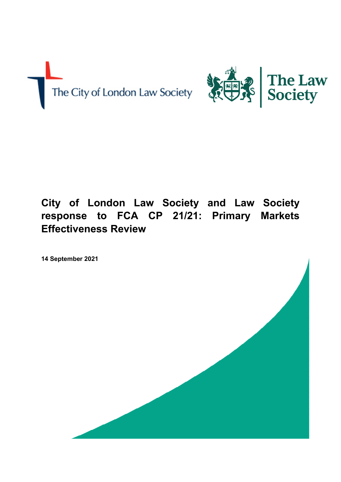

# **City of London Law Society and Law Society response to FCA CP 21/21: Primary Markets Effectiveness Review**

**14 September 2021** 

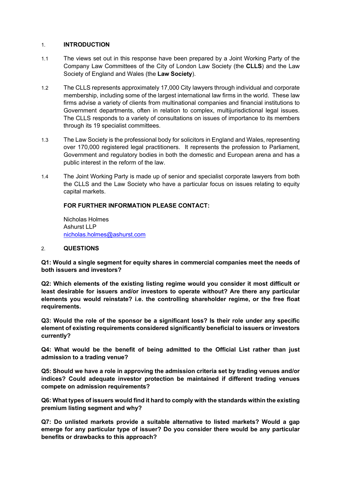## 1. **INTRODUCTION**

- 1.1 The views set out in this response have been prepared by a Joint Working Party of the Company Law Committees of the City of London Law Society (the **CLLS**) and the Law Society of England and Wales (the **Law Society**).
- 1.2 The CLLS represents approximately 17,000 City lawyers through individual and corporate membership, including some of the largest international law firms in the world. These law firms advise a variety of clients from multinational companies and financial institutions to Government departments, often in relation to complex, multijurisdictional legal issues. The CLLS responds to a variety of consultations on issues of importance to its members through its 19 specialist committees.
- 1.3 The Law Society is the professional body for solicitors in England and Wales, representing over 170,000 registered legal practitioners. It represents the profession to Parliament, Government and regulatory bodies in both the domestic and European arena and has a public interest in the reform of the law.
- 1.4 The Joint Working Party is made up of senior and specialist corporate lawyers from both the CLLS and the Law Society who have a particular focus on issues relating to equity capital markets.

## **FOR FURTHER INFORMATION PLEASE CONTACT:**

Nicholas Holmes Ashurst LLP [nicholas.holmes@ashurst.com](mailto:nicholas.holmes@ashurst.com)

#### 2. **QUESTIONS**

**Q1: Would a single segment for equity shares in commercial companies meet the needs of both issuers and investors?** 

**Q2: Which elements of the existing listing regime would you consider it most difficult or least desirable for issuers and/or investors to operate without? Are there any particular elements you would reinstate? i.e. the controlling shareholder regime, or the free float requirements.** 

**Q3: Would the role of the sponsor be a significant loss? Is their role under any specific element of existing requirements considered significantly beneficial to issuers or investors currently?** 

**Q4: What would be the benefit of being admitted to the Official List rather than just admission to a trading venue?** 

**Q5: Should we have a role in approving the admission criteria set by trading venues and/or indices? Could adequate investor protection be maintained if different trading venues compete on admission requirements?** 

**Q6: What types of issuers would find it hard to comply with the standards within the existing premium listing segment and why?** 

**Q7: Do unlisted markets provide a suitable alternative to listed markets? Would a gap emerge for any particular type of issuer? Do you consider there would be any particular benefits or drawbacks to this approach?**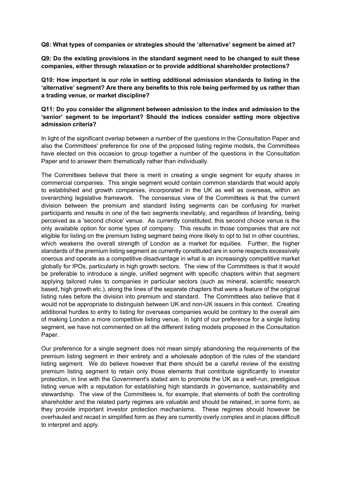**Q8: What types of companies or strategies should the 'alternative' segment be aimed at?** 

**Q9: Do the existing provisions in the standard segment need to be changed to suit these companies, either through relaxation or to provide additional shareholder protections?** 

**Q10: How important is our role in setting additional admission standards to listing in the 'alternative' segment? Are there any benefits to this role being performed by us rather than a trading venue, or market discipline?** 

## **Q11: Do you consider the alignment between admission to the index and admission to the 'senior' segment to be important? Should the indices consider setting more objective admission criteria?**

In light of the significant overlap between a number of the questions in the Consultation Paper and also the Committees' preference for one of the proposed listing regime models, the Committees have elected on this occasion to group together a number of the questions in the Consultation Paper and to answer them thematically rather than individually.

The Committees believe that there is merit in creating a single segment for equity shares in commercial companies. This single segment would contain common standards that would apply to established and growth companies, incorporated in the UK as well as overseas, within an overarching legislative framework. The consensus view of the Committees is that the current division between the premium and standard listing segments can be confusing for market participants and results in one of the two segments inevitably, and regardless of branding, being perceived as a 'second choice' venue. As currently constituted, this second choice venue is the only available option for some types of company. This results in those companies that are not eligible for listing on the premium listing segment being more likely to opt to list in other countries, which weakens the overall strength of London as a market for equities. Further, the higher standards of the premium listing segment as currently constituted are in some respects excessively onerous and operate as a competitive disadvantage in what is an increasingly competitive market globally for IPOs, particularly in high growth sectors. The view of the Committees is that it would be preferable to introduce a single, unified segment with specific chapters within that segment applying tailored rules to companies in particular sectors (such as mineral, scientific research based, high growth etc.), along the lines of the separate chapters that were a feature of the original listing rules before the division into premium and standard. The Committees also believe that it would not be appropriate to distinguish between UK and non-UK issuers in this context. Creating additional hurdles to entry to listing for overseas companies would be contrary to the overall aim of making London a more competitive listing venue. In light of our preference for a single listing segment, we have not commented on all the different listing models proposed in the Consultation Paper.

Our preference for a single segment does not mean simply abandoning the requirements of the premium listing segment in their entirety and a wholesale adoption of the rules of the standard listing segment. We do believe however that there should be a careful review of the existing premium listing segment to retain only those elements that contribute significantly to investor protection, in line with the Government's stated aim to promote the UK as a well-run, prestigious listing venue with a reputation for establishing high standards in governance, sustainability and stewardship. The view of the Committees is, for example, that elements of both the controlling shareholder and the related party regimes are valuable and should be retained, in some form, as they provide important investor protection mechanisms. These regimes should however be overhauled and recast in simplified form as they are currently overly complex and in places difficult to interpret and apply.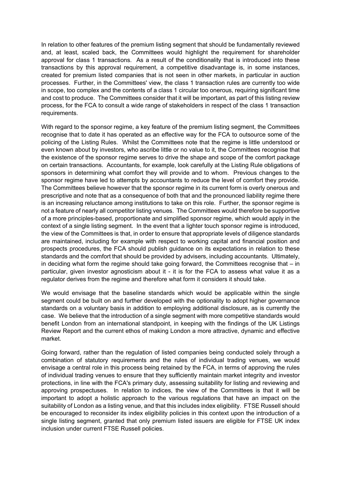In relation to other features of the premium listing segment that should be fundamentally reviewed and, at least, scaled back, the Committees would highlight the requirement for shareholder approval for class 1 transactions. As a result of the conditionality that is introduced into these transactions by this approval requirement, a competitive disadvantage is, in some instances, created for premium listed companies that is not seen in other markets, in particular in auction processes. Further, in the Committees' view, the class 1 transaction rules are currently too wide in scope, too complex and the contents of a class 1 circular too onerous, requiring significant time and cost to produce. The Committees consider that it will be important, as part of this listing review process, for the FCA to consult a wide range of stakeholders in respect of the class 1 transaction requirements.

With regard to the sponsor regime, a key feature of the premium listing segment, the Committees recognise that to date it has operated as an effective way for the FCA to outsource some of the policing of the Listing Rules. Whilst the Committees note that the regime is little understood or even known about by investors, who ascribe little or no value to it, the Committees recognise that the existence of the sponsor regime serves to drive the shape and scope of the comfort package on certain transactions. Accountants, for example, look carefully at the Listing Rule obligations of sponsors in determining what comfort they will provide and to whom. Previous changes to the sponsor regime have led to attempts by accountants to reduce the level of comfort they provide. The Committees believe however that the sponsor regime in its current form is overly onerous and prescriptive and note that as a consequence of both that and the pronounced liability regime there is an increasing reluctance among institutions to take on this role. Further, the sponsor regime is not a feature of nearly all competitor listing venues. The Committees would therefore be supportive of a more principles-based, proportionate and simplified sponsor regime, which would apply in the context of a single listing segment. In the event that a lighter touch sponsor regime is introduced, the view of the Committees is that, in order to ensure that appropriate levels of diligence standards are maintained, including for example with respect to working capital and financial position and prospects procedures, the FCA should publish guidance on its expectations in relation to these standards and the comfort that should be provided by advisers, including accountants. Ultimately, in deciding what form the regime should take going forward, the Committees recognise that  $-$  in particular, given investor agnosticism about it - it is for the FCA to assess what value it as a regulator derives from the regime and therefore what form it considers it should take.

We would envisage that the baseline standards which would be applicable within the single segment could be built on and further developed with the optionality to adopt higher governance standards on a voluntary basis in addition to employing additional disclosure, as is currently the case. We believe that the introduction of a single segment with more competitive standards would benefit London from an international standpoint, in keeping with the findings of the UK Listings Review Report and the current ethos of making London a more attractive, dynamic and effective market.

Going forward, rather than the regulation of listed companies being conducted solely through a combination of statutory requirements and the rules of individual trading venues, we would envisage a central role in this process being retained by the FCA, in terms of approving the rules of individual trading venues to ensure that they sufficiently maintain market integrity and investor protections, in line with the FCA's primary duty, assessing suitability for listing and reviewing and approving prospectuses. In relation to indices, the view of the Committees is that it will be important to adopt a holistic approach to the various regulations that have an impact on the suitability of London as a listing venue, and that this includes index eligibility. FTSE Russell should be encouraged to reconsider its index eligibility policies in this context upon the introduction of a single listing segment, granted that only premium listed issuers are eligible for FTSE UK index inclusion under current FTSE Russell policies.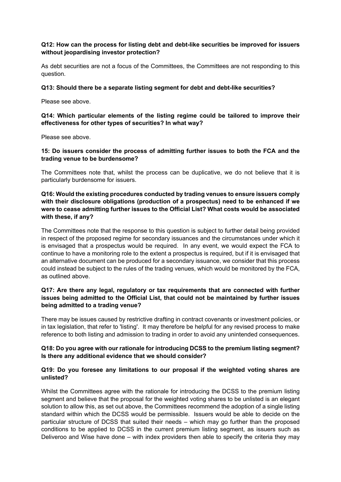## **Q12: How can the process for listing debt and debt-like securities be improved for issuers without jeopardising investor protection?**

As debt securities are not a focus of the Committees, the Committees are not responding to this question.

#### **Q13: Should there be a separate listing segment for debt and debt-like securities?**

Please see above.

## **Q14: Which particular elements of the listing regime could be tailored to improve their effectiveness for other types of securities? In what way?**

Please see above.

## **15: Do issuers consider the process of admitting further issues to both the FCA and the trading venue to be burdensome?**

The Committees note that, whilst the process can be duplicative, we do not believe that it is particularly burdensome for issuers.

## **Q16: Would the existing procedures conducted by trading venues to ensure issuers comply with their disclosure obligations (production of a prospectus) need to be enhanced if we were to cease admitting further issues to the Official List? What costs would be associated with these, if any?**

The Committees note that the response to this question is subject to further detail being provided in respect of the proposed regime for secondary issuances and the circumstances under which it is envisaged that a prospectus would be required. In any event, we would expect the FCA to continue to have a monitoring role to the extent a prospectus is required, but if it is envisaged that an alternative document can be produced for a secondary issuance, we consider that this process could instead be subject to the rules of the trading venues, which would be monitored by the FCA, as outlined above.

## **Q17: Are there any legal, regulatory or tax requirements that are connected with further issues being admitted to the Official List, that could not be maintained by further issues being admitted to a trading venue?**

There may be issues caused by restrictive drafting in contract covenants or investment policies, or in tax legislation, that refer to 'listing'. It may therefore be helpful for any revised process to make reference to both listing and admission to trading in order to avoid any unintended consequences.

## **Q18: Do you agree with our rationale for introducing DCSS to the premium listing segment? Is there any additional evidence that we should consider?**

## **Q19: Do you foresee any limitations to our proposal if the weighted voting shares are unlisted?**

Whilst the Committees agree with the rationale for introducing the DCSS to the premium listing segment and believe that the proposal for the weighted voting shares to be unlisted is an elegant solution to allow this, as set out above, the Committees recommend the adoption of a single listing standard within which the DCSS would be permissible. Issuers would be able to decide on the particular structure of DCSS that suited their needs – which may go further than the proposed conditions to be applied to DCSS in the current premium listing segment, as issuers such as Deliveroo and Wise have done – with index providers then able to specify the criteria they may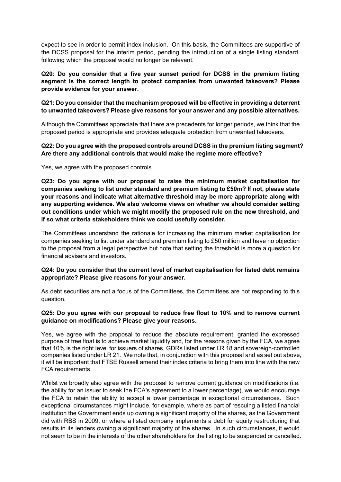expect to see in order to permit index inclusion. On this basis, the Committees are supportive of the DCSS proposal for the interim period, pending the introduction of a single listing standard, following which the proposal would no longer be relevant.

**Q20: Do you consider that a five year sunset period for DCSS in the premium listing segment is the correct length to protect companies from unwanted takeovers? Please provide evidence for your answer.** 

## **Q21: Do you consider that the mechanism proposed will be effective in providing a deterrent to unwanted takeovers? Please give reasons for your answer and any possible alternatives.**

Although the Committees appreciate that there are precedents for longer periods, we think that the proposed period is appropriate and provides adequate protection from unwanted takeovers.

## **Q22: Do you agree with the proposed controls around DCSS in the premium listing segment? Are there any additional controls that would make the regime more effective?**

Yes, we agree with the proposed controls.

**Q23: Do you agree with our proposal to raise the minimum market capitalisation for companies seeking to list under standard and premium listing to £50m? If not, please state your reasons and indicate what alternative threshold may be more appropriate along with any supporting evidence. We also welcome views on whether we should consider setting out conditions under which we might modify the proposed rule on the new threshold, and if so what criteria stakeholders think we could usefully consider.** 

The Committees understand the rationale for increasing the minimum market capitalisation for companies seeking to list under standard and premium listing to £50 million and have no objection to the proposal from a legal perspective but note that setting the threshold is more a question for financial advisers and investors.

## **Q24: Do you consider that the current level of market capitalisation for listed debt remains appropriate? Please give reasons for your answer.**

As debt securities are not a focus of the Committees, the Committees are not responding to this question.

## **Q25: Do you agree with our proposal to reduce free float to 10% and to remove current guidance on modifications? Please give your reasons.**

Yes, we agree with the proposal to reduce the absolute requirement, granted the expressed purpose of free float is to achieve market liquidity and, for the reasons given by the FCA, we agree that 10% is the right level for issuers of shares, GDRs listed under LR 18 and sovereign-controlled companies listed under LR 21. We note that, in conjunction with this proposal and as set out above, it will be important that FTSE Russell amend their index criteria to bring them into line with the new FCA requirements.

Whilst we broadly also agree with the proposal to remove current guidance on modifications (i.e. the ability for an issuer to seek the FCA's agreement to a lower percentage), we would encourage the FCA to retain the ability to accept a lower percentage in exceptional circumstances. Such exceptional circumstances might include, for example, where as part of rescuing a listed financial institution the Government ends up owning a significant majority of the shares, as the Government did with RBS in 2009, or where a listed company implements a debt for equity restructuring that results in its lenders owning a significant majority of the shares. In such circumstances, it would not seem to be in the interests of the other shareholders for the listing to be suspended or cancelled.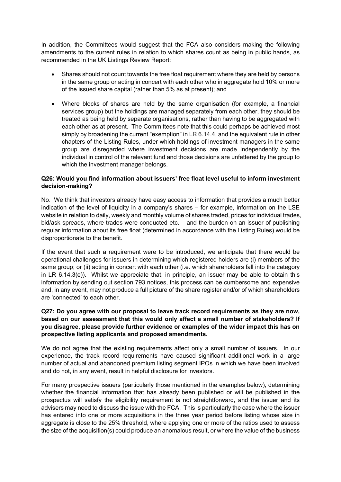In addition, the Committees would suggest that the FCA also considers making the following amendments to the current rules in relation to which shares count as being in public hands, as recommended in the UK Listings Review Report:

- Shares should not count towards the free float requirement where they are held by persons in the same group or acting in concert with each other who in aggregate hold 10% or more of the issued share capital (rather than 5% as at present); and
- Where blocks of shares are held by the same organisation (for example, a financial services group) but the holdings are managed separately from each other, they should be treated as being held by separate organisations, rather than having to be aggregated with each other as at present. The Committees note that this could perhaps be achieved most simply by broadening the current "exemption" in LR 6.14.4, and the equivalent rule in other chapters of the Listing Rules, under which holdings of investment managers in the same group are disregarded where investment decisions are made independently by the individual in control of the relevant fund and those decisions are unfettered by the group to which the investment manager belongs.

## **Q26: Would you find information about issuers' free float level useful to inform investment decision-making?**

No. We think that investors already have easy access to information that provides a much better indication of the level of liquidity in a company's shares – for example, information on the LSE website in relation to daily, weekly and monthly volume of shares traded, prices for individual trades, bid/ask spreads, where trades were conducted etc. – and the burden on an issuer of publishing regular information about its free float (determined in accordance with the Listing Rules) would be disproportionate to the benefit.

If the event that such a requirement were to be introduced, we anticipate that there would be operational challenges for issuers in determining which registered holders are (i) members of the same group; or (ii) acting in concert with each other (i.e. which shareholders fall into the category in LR 6.14.3(e)). Whilst we appreciate that, in principle, an issuer may be able to obtain this information by sending out section 793 notices, this process can be cumbersome and expensive and, in any event, may not produce a full picture of the share register and/or of which shareholders are 'connected' to each other.

## **Q27: Do you agree with our proposal to leave track record requirements as they are now, based on our assessment that this would only affect a small number of stakeholders? If you disagree, please provide further evidence or examples of the wider impact this has on prospective listing applicants and proposed amendments.**

We do not agree that the existing requirements affect only a small number of issuers. In our experience, the track record requirements have caused significant additional work in a large number of actual and abandoned premium listing segment IPOs in which we have been involved and do not, in any event, result in helpful disclosure for investors.

For many prospective issuers (particularly those mentioned in the examples below), determining whether the financial information that has already been published or will be published in the prospectus will satisfy the eligibility requirement is not straightforward, and the issuer and its advisers may need to discuss the issue with the FCA. This is particularly the case where the issuer has entered into one or more acquisitions in the three year period before listing whose size in aggregate is close to the 25% threshold, where applying one or more of the ratios used to assess the size of the acquisition(s) could produce an anomalous result, or where the value of the business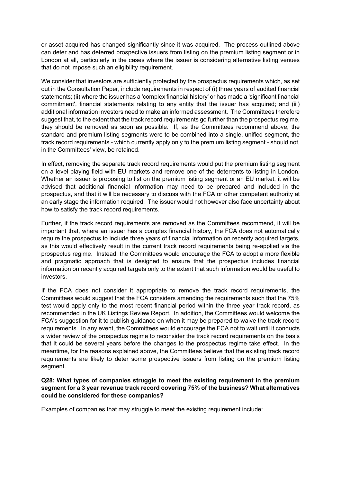or asset acquired has changed significantly since it was acquired. The process outlined above can deter and has deterred prospective issuers from listing on the premium listing segment or in London at all, particularly in the cases where the issuer is considering alternative listing venues that do not impose such an eligibility requirement.

We consider that investors are sufficiently protected by the prospectus requirements which, as set out in the Consultation Paper, include requirements in respect of (i) three years of audited financial statements; (ii) where the issuer has a 'complex financial history' or has made a 'significant financial commitment', financial statements relating to any entity that the issuer has acquired; and (iii) additional information investors need to make an informed assessment. The Committees therefore suggest that, to the extent that the track record requirements go further than the prospectus regime, they should be removed as soon as possible. If, as the Committees recommend above, the standard and premium listing segments were to be combined into a single, unified segment, the track record requirements - which currently apply only to the premium listing segment - should not, in the Committees' view, be retained.

In effect, removing the separate track record requirements would put the premium listing segment on a level playing field with EU markets and remove one of the deterrents to listing in London. Whether an issuer is proposing to list on the premium listing segment or an EU market, it will be advised that additional financial information may need to be prepared and included in the prospectus, and that it will be necessary to discuss with the FCA or other competent authority at an early stage the information required. The issuer would not however also face uncertainty about how to satisfy the track record requirements.

Further, if the track record requirements are removed as the Committees recommend, it will be important that, where an issuer has a complex financial history, the FCA does not automatically require the prospectus to include three years of financial information on recently acquired targets, as this would effectively result in the current track record requirements being re-applied via the prospectus regime. Instead, the Committees would encourage the FCA to adopt a more flexible and pragmatic approach that is designed to ensure that the prospectus includes financial information on recently acquired targets only to the extent that such information would be useful to investors.

If the FCA does not consider it appropriate to remove the track record requirements, the Committees would suggest that the FCA considers amending the requirements such that the 75% test would apply only to the most recent financial period within the three year track record, as recommended in the UK Listings Review Report. In addition, the Committees would welcome the FCA's suggestion for it to publish guidance on when it may be prepared to waive the track record requirements. In any event, the Committees would encourage the FCA not to wait until it conducts a wider review of the prospectus regime to reconsider the track record requirements on the basis that it could be several years before the changes to the prospectus regime take effect. In the meantime, for the reasons explained above, the Committees believe that the existing track record requirements are likely to deter some prospective issuers from listing on the premium listing segment.

## **Q28: What types of companies struggle to meet the existing requirement in the premium segment for a 3 year revenue track record covering 75% of the business? What alternatives could be considered for these companies?**

Examples of companies that may struggle to meet the existing requirement include: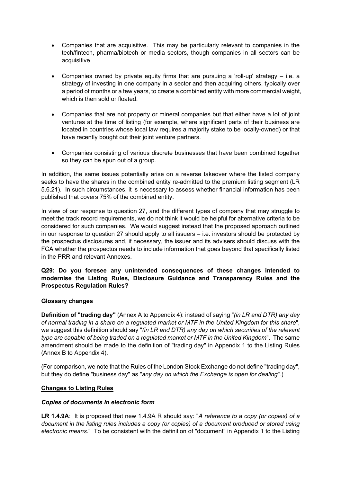- Companies that are acquisitive. This may be particularly relevant to companies in the tech/fintech, pharma/biotech or media sectors, though companies in all sectors can be acquisitive.
- Companies owned by private equity firms that are pursuing a 'roll-up' strategy i.e. a strategy of investing in one company in a sector and then acquiring others, typically over a period of months or a few years, to create a combined entity with more commercial weight, which is then sold or floated.
- Companies that are not property or mineral companies but that either have a lot of joint ventures at the time of listing (for example, where significant parts of their business are located in countries whose local law requires a majority stake to be locally-owned) or that have recently bought out their joint venture partners.
- Companies consisting of various discrete businesses that have been combined together so they can be spun out of a group.

In addition, the same issues potentially arise on a reverse takeover where the listed company seeks to have the shares in the combined entity re-admitted to the premium listing segment (LR 5.6.21). In such circumstances, it is necessary to assess whether financial information has been published that covers 75% of the combined entity.

In view of our response to question 27, and the different types of company that may struggle to meet the track record requirements, we do not think it would be helpful for alternative criteria to be considered for such companies. We would suggest instead that the proposed approach outlined in our response to question 27 should apply to all issuers – i.e. investors should be protected by the prospectus disclosures and, if necessary, the issuer and its advisers should discuss with the FCA whether the prospectus needs to include information that goes beyond that specifically listed in the PRR and relevant Annexes.

## **Q29: Do you foresee any unintended consequences of these changes intended to modernise the Listing Rules, Disclosure Guidance and Transparency Rules and the Prospectus Regulation Rules?**

## **Glossary changes**

**Definition of "trading day"** (Annex A to Appendix 4): instead of saying "*(in LR and DTR) any day of normal trading in a share on a regulated market or MTF in the United Kingdom for this share*", we suggest this definition should say "*(in LR and DTR) any day on which securities of the relevant type are capable of being traded on a regulated market or MTF in the United Kingdom*". The same amendment should be made to the definition of "trading day" in Appendix 1 to the Listing Rules (Annex B to Appendix 4).

(For comparison, we note that the Rules of the London Stock Exchange do not define "trading day", but they do define "business day" as "*any day on which the Exchange is open for dealing*".)

## **Changes to Listing Rules**

#### *Copies of documents in electronic form*

**LR 1.4.9A**: It is proposed that new 1.4.9A R should say: "*A reference to a copy (or copies) of a document in the listing rules includes a copy (or copies) of a document produced or stored using electronic means*." To be consistent with the definition of "document" in Appendix 1 to the Listing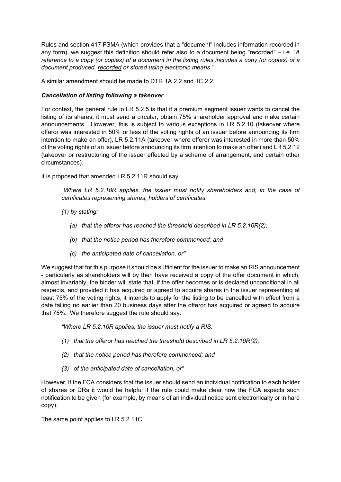Rules and section 417 FSMA (which provides that a "document" includes information recorded in any form), we suggest this definition should refer also to a document being "recorded" – i.e. "*A reference to a copy (or copies) of a document in the listing rules includes a copy (or copies) of a document produced, recorded or stored using electronic means*."

A similar amendment should be made to DTR 1A.2.2 and 1C.2.2.

# *Cancellation of listing following a takeover*

For context, the general rule in LR 5.2.5 is that if a premium segment issuer wants to cancel the listing of its shares, it must send a circular, obtain 75% shareholder approval and make certain announcements. However, this is subject to various exceptions in LR 5.2.10 (takeover where offeror was interested in 50% or less of the voting rights of an issuer before announcing its firm intention to make an offer), LR 5.2.11A (takeover where offeror was interested in more than 50% of the voting rights of an issuer before announcing its firm intention to make an offer) and LR 5.2.12 (takeover or restructuring of the issuer effected by a scheme of arrangement, and certain other circumstances).

It is proposed that amended LR 5.2.11R should say:

"*Where LR 5.2.10R applies, the issuer must notify shareholders and, in the case of certificates representing shares, holders of certificates:* 

*(1) by stating:* 

- *(a) that the offeror has reached the threshold described in LR 5.2.10R(2);*
- *(b) that the notice period has therefore commenced; and*
- *(c) the anticipated date of cancellation, or"*

We suggest that for this purpose it should be sufficient for the issuer to make an RIS announcement - particularly as shareholders will by then have received a copy of the offer document in which, almost invariably, the bidder will state that, if the offer becomes or is declared unconditional in all respects, and provided it has acquired or agreed to acquire shares in the issuer representing at least 75% of the voting rights, it intends to apply for the listing to be cancelled with effect from a date falling no earlier than 20 business days after the offeror has acquired or agreed to acquire that 75%. We therefore suggest the rule should say:

*"Where LR 5.2.10R applies, the issuer must notify a RIS:* 

- *(1) that the offeror has reached the threshold described in LR 5.2.10R(2);*
- *(2) that the notice period has therefore commenced; and*
- *(3) of the anticipated date of cancellation, or"*

However, if the FCA considers that the issuer should send an individual notification to each holder of shares or DRs it would be helpful if the rule could make clear how the FCA expects such notification to be given (for example, by means of an individual notice sent electronically or in hard copy).

The same point applies to LR 5.2.11C.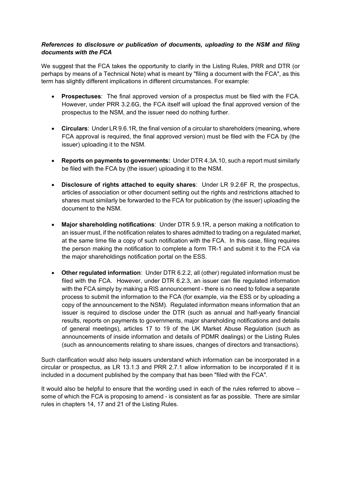# *References to disclosure or publication of documents, uploading to the NSM and filing documents with the FCA*

We suggest that the FCA takes the opportunity to clarify in the Listing Rules, PRR and DTR (or perhaps by means of a Technical Note) what is meant by "filing a document with the FCA", as this term has slightly different implications in different circumstances. For example:

- **Prospectuses**: The final approved version of a prospectus must be filed with the FCA. However, under PRR 3.2.6G, the FCA itself will upload the final approved version of the prospectus to the NSM, and the issuer need do nothing further.
- **Circulars**: Under LR 9.6.1R, the final version of a circular to shareholders (meaning, where FCA approval is required, the final approved version) must be filed with the FCA by (the issuer) uploading it to the NSM.
- **Reports on payments to governments:** Under DTR 4.3A.10, such a report must similarly be filed with the FCA by (the issuer) uploading it to the NSM.
- **Disclosure of rights attached to equity shares**: Under LR 9.2.6F R, the prospectus, articles of association or other document setting out the rights and restrictions attached to shares must similarly be forwarded to the FCA for publication by (the issuer) uploading the document to the NSM.
- **Major shareholding notifications**: Under DTR 5.9.1R, a person making a notification to an issuer must, if the notification relates to shares admitted to trading on a regulated market, at the same time file a copy of such notification with the FCA. In this case, filing requires the person making the notification to complete a form TR-1 and submit it to the FCA via the major shareholdings notification portal on the ESS.
- **Other regulated information**: Under DTR 6.2.2, all (other) regulated information must be filed with the FCA. However, under DTR 6.2.3, an issuer can file regulated information with the FCA simply by making a RIS announcement - there is no need to follow a separate process to submit the information to the FCA (for example, via the ESS or by uploading a copy of the announcement to the NSM). Regulated information means information that an issuer is required to disclose under the DTR (such as annual and half-yearly financial results, reports on payments to governments, major shareholding notifications and details of general meetings), articles 17 to 19 of the UK Market Abuse Regulation (such as announcements of inside information and details of PDMR dealings) or the Listing Rules (such as announcements relating to share issues, changes of directors and transactions).

Such clarification would also help issuers understand which information can be incorporated in a circular or prospectus, as LR 13.1.3 and PRR 2.7.1 allow information to be incorporated if it is included in a document published by the company that has been "filed with the FCA".

It would also be helpful to ensure that the wording used in each of the rules referred to above – some of which the FCA is proposing to amend - is consistent as far as possible. There are similar rules in chapters 14, 17 and 21 of the Listing Rules.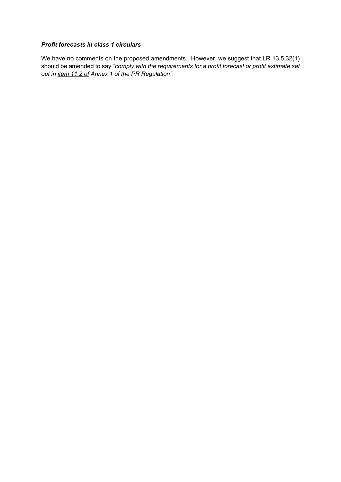# *Profit forecasts in class 1 circulars*

We have no comments on the proposed amendments. However, we suggest that LR 13.5.32(1) should be amended to say *"comply with the requirements for a profit forecast or profit estimate set out in item 11.2 of Annex 1 of the PR Regulation"*.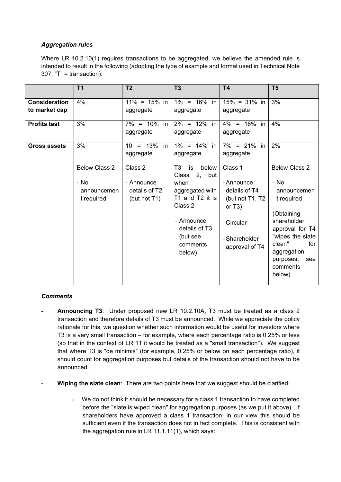# *Aggregation rules*

Where LR 10.2.10(1) requires transactions to be aggregated, we believe the amended rule is intended to result in the following (adopting the type of example and format used in Technical Note 307; "T" = transaction):

|                                       | <b>T1</b>                                                 | T <sub>2</sub>                                         | T3                                                                                                                                                                         | <b>T4</b>                                                                                                               | T <sub>5</sub>                                                                                                                                                                                          |
|---------------------------------------|-----------------------------------------------------------|--------------------------------------------------------|----------------------------------------------------------------------------------------------------------------------------------------------------------------------------|-------------------------------------------------------------------------------------------------------------------------|---------------------------------------------------------------------------------------------------------------------------------------------------------------------------------------------------------|
| <b>Consideration</b><br>to market cap | 4%                                                        | $11\% = 15\%$ in<br>aggregate                          | $1\% = 16\%$ in<br>aggregate                                                                                                                                               | $15\% = 31\%$ in<br>aggregate                                                                                           | 3%                                                                                                                                                                                                      |
| <b>Profits test</b>                   | 3%                                                        | $7\% = 10\%$ in<br>aggregate                           | $2\% = 12\%$ in<br>aggregate                                                                                                                                               | $4\% = 16\%$ in<br>aggregate                                                                                            | 4%                                                                                                                                                                                                      |
| Gross assets                          | 3%                                                        | $10 = 13\%$ in<br>aggregate                            | $1\% = 14\%$ in<br>aggregate                                                                                                                                               | $7\% = 21\%$ in<br>aggregate                                                                                            | 2%                                                                                                                                                                                                      |
|                                       | <b>Below Class 2</b><br>- No<br>announcemen<br>t required | Class 2<br>- Announce<br>details of T2<br>(but not T1) | T3<br>below<br>is<br>Class<br>2, but<br>when<br>aggregated with<br>T1 and T2 it is<br>Class 2<br>- Announce<br>details of T <sub>3</sub><br>(but see<br>comments<br>below) | Class 1<br>- Announce<br>details of T4<br>(but not T1, T2<br>or $T3$ )<br>- Circular<br>- Shareholder<br>approval of T4 | <b>Below Class 2</b><br>- No<br>announcemen<br>t required<br>(Obtaining<br>shareholder<br>approval for T4<br>"wipes the slate<br>clean"<br>for<br>aggregation<br>purposes:<br>see<br>comments<br>below) |

## *Comments*

- **Announcing T3:** Under proposed new LR 10.2.10A, T3 must be treated as a class 2 transaction and therefore details of T3 must be announced. While we appreciate the policy rationale for this, we question whether such information would be useful for investors where T3 is a very small transaction – for example, where each percentage ratio is 0.25% or less (so that in the context of LR 11 it would be treated as a "small transaction"). We suggest that where T3 is "de minimis" (for example, 0.25% or below on each percentage ratio), it should count for aggregation purposes but details of the transaction should not have to be announced.
- **Wiping the slate clean**: There are two points here that we suggest should be clarified:
	- o We do not think it should be necessary for a class 1 transaction to have completed before the "slate is wiped clean" for aggregation purposes (as we put it above). If shareholders have approved a class 1 transaction, in our view this should be sufficient even if the transaction does not in fact complete. This is consistent with the aggregation rule in LR 11.1.11(1), which says: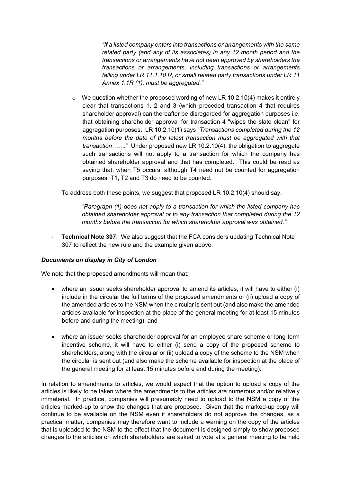*"If a listed company enters into transactions or arrangements with the same related party (and any of its associates) in any 12 month period and the transactions or arrangements have not been approved by shareholders the transactions or arrangements, including transactions or arrangements falling under LR 11.1.10 R, or small related party transactions under LR 11 Annex 1.1R (1), must be aggregated."* 

 $\circ$  We question whether the proposed wording of new LR 10.2.10(4) makes it entirely clear that transactions 1, 2 and 3 (which preceded transaction 4 that requires shareholder approval) can thereafter be disregarded for aggregation purposes i.e. that obtaining shareholder approval for transaction 4 "wipes the slate clean" for aggregation purposes. LR 10.2.10(1) says "*Transactions completed during the 12 months before the date of the latest transaction must be aggregated with that transaction……*." Under proposed new LR 10.2.10(4), the obligation to aggregate such transactions will not apply to a transaction for which the company has obtained shareholder approval and that has completed. This could be read as saying that, when T5 occurs, although T4 need not be counted for aggregation purposes, T1, T2 and T3 do need to be counted.

To address both these points, we suggest that proposed LR 10.2.10(4) should say:

*"Paragraph (1) does not apply to a transaction for which the listed company has obtained shareholder approval or to any transaction that completed during the 12 months before the transaction for which shareholder approval was obtained."* 

**Technical Note 307:** We also suggest that the FCA considers updating Technical Note 307 to reflect the new rule and the example given above.

#### *Documents on display in City of London*

We note that the proposed amendments will mean that:

- where an issuer seeks shareholder approval to amend its articles, it will have to either (i) include in the circular the full terms of the proposed amendments or (ii) upload a copy of the amended articles to the NSM when the circular is sent out (and also make the amended articles available for inspection at the place of the general meeting for at least 15 minutes before and during the meeting); and
- where an issuer seeks shareholder approval for an employee share scheme or long-term incentive scheme, it will have to either (i) send a copy of the proposed scheme to shareholders, along with the circular or (ii) upload a copy of the scheme to the NSM when the circular is sent out (and also make the scheme available for inspection at the place of the general meeting for at least 15 minutes before and during the meeting).

In relation to amendments to articles, we would expect that the option to upload a copy of the articles is likely to be taken where the amendments to the articles are numerous and/or relatively immaterial. In practice, companies will presumably need to upload to the NSM a copy of the articles marked-up to show the changes that are proposed. Given that the marked-up copy will continue to be available on the NSM even if shareholders do not approve the changes, as a practical matter, companies may therefore want to include a warning on the copy of the articles that is uploaded to the NSM to the effect that the document is designed simply to show proposed changes to the articles on which shareholders are asked to vote at a general meeting to be held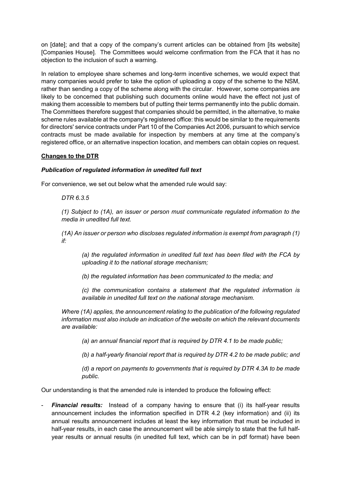on [date]; and that a copy of the company's current articles can be obtained from [its website] [Companies House]. The Committees would welcome confirmation from the FCA that it has no objection to the inclusion of such a warning.

In relation to employee share schemes and long-term incentive schemes, we would expect that many companies would prefer to take the option of uploading a copy of the scheme to the NSM, rather than sending a copy of the scheme along with the circular. However, some companies are likely to be concerned that publishing such documents online would have the effect not just of making them accessible to members but of putting their terms permanently into the public domain. The Committees therefore suggest that companies should be permitted, in the alternative, to make scheme rules available at the company's registered office: this would be similar to the requirements for directors' service contracts under Part 10 of the Companies Act 2006, pursuant to which service contracts must be made available for inspection by members at any time at the company's registered office, or an alternative inspection location, and members can obtain copies on request.

## **Changes to the DTR**

## *Publication of regulated information in unedited full text*

For convenience, we set out below what the amended rule would say:

#### *DTR 6.3.5*

*(1) Subject to (1A), an issuer or person must communicate regulated information to the media in unedited full text.* 

*(1A) An issuer or person who discloses regulated information is exempt from paragraph (1) if:* 

*(a) the regulated information in unedited full text has been filed with the FCA by uploading it to the national storage mechanism;* 

*(b) the regulated information has been communicated to the media; and* 

*(c) the communication contains a statement that the regulated information is available in unedited full text on the national storage mechanism.* 

*Where (1A) applies, the announcement relating to the publication of the following regulated information must also include an indication of the website on which the relevant documents are available:* 

*(a) an annual financial report that is required by DTR 4.1 to be made public;* 

*(b) a half-yearly financial report that is required by DTR 4.2 to be made public; and* 

*(d) a report on payments to governments that is required by DTR 4.3A to be made public.*

Our understanding is that the amended rule is intended to produce the following effect:

**Financial results:** Instead of a company having to ensure that (i) its half-year results announcement includes the information specified in DTR 4.2 (key information) and (ii) its annual results announcement includes at least the key information that must be included in half-year results, in each case the announcement will be able simply to state that the full halfyear results or annual results (in unedited full text, which can be in pdf format) have been